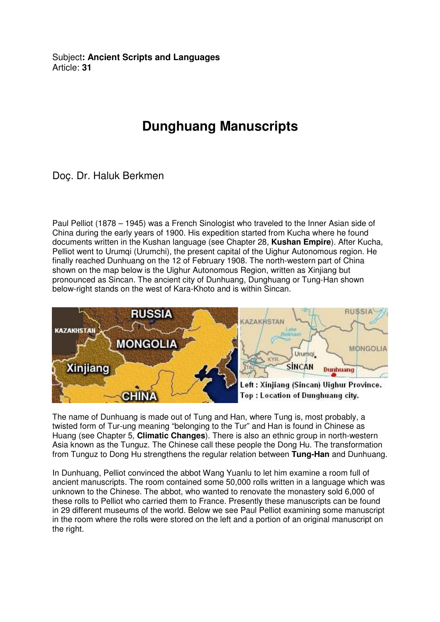Subject**: Ancient Scripts and Languages**  Article: **31**

## **Dunghuang Manuscripts**

Doç. Dr. Haluk Berkmen

Paul Pelliot (1878 – 1945) was a French Sinologist who traveled to the Inner Asian side of China during the early years of 1900. His expedition started from Kucha where he found documents written in the Kushan language (see Chapter 28, **Kushan Empire**). After Kucha, Pelliot went to Urumqi (Urumchi), the present capital of the Uighur Autonomous region. He finally reached Dunhuang on the 12 of February 1908. The north-western part of China shown on the map below is the Uighur Autonomous Region, written as Xinjiang but pronounced as Sincan. The ancient city of Dunhuang, Dunghuang or Tung-Han shown below-right stands on the west of Kara-Khoto and is within Sincan.



The name of Dunhuang is made out of Tung and Han, where Tung is, most probably, a twisted form of Tur-ung meaning "belonging to the Tur" and Han is found in Chinese as Huang (see Chapter 5, **Climatic Changes**). There is also an ethnic group in north-western Asia known as the Tunguz. The Chinese call these people the Dong Hu. The transformation from Tunguz to Dong Hu strengthens the regular relation between **Tung-Han** and Dunhuang.

In Dunhuang, Pelliot convinced the abbot Wang Yuanlu to let him examine a room full of ancient manuscripts. The room contained some 50,000 rolls written in a language which was unknown to the Chinese. The abbot, who wanted to renovate the monastery sold 6,000 of these rolls to Pelliot who carried them to France. Presently these manuscripts can be found in 29 different museums of the world. Below we see Paul Pelliot examining some manuscript in the room where the rolls were stored on the left and a portion of an original manuscript on the right.